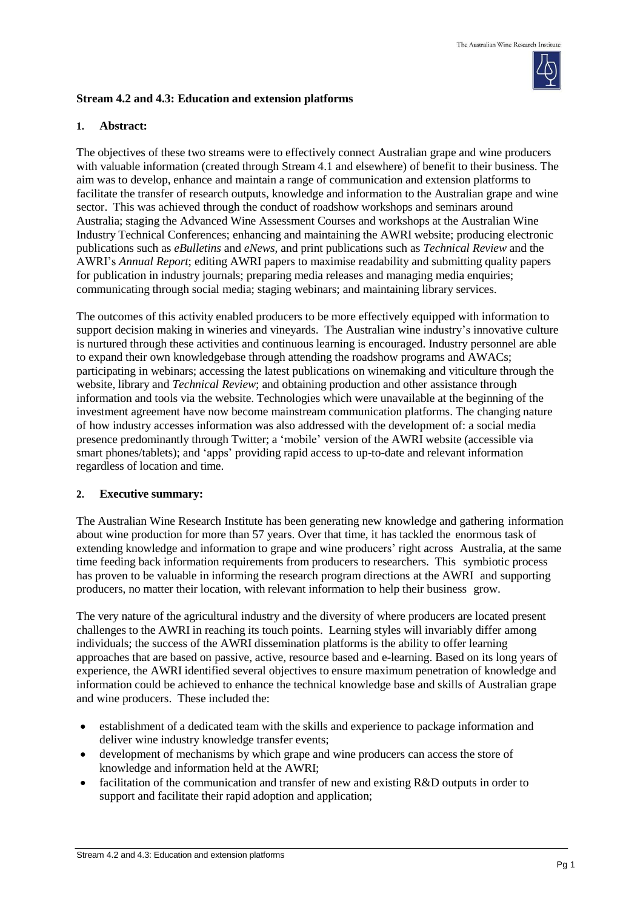

## **Stream 4.2 and 4.3: Education and extension platforms**

## **1. Abstract:**

The objectives of these two streams were to effectively connect Australian grape and wine producers with valuable information (created through Stream 4.1 and elsewhere) of benefit to their business. The aim was to develop, enhance and maintain a range of communication and extension platforms to facilitate the transfer of research outputs, knowledge and information to the Australian grape and wine sector. This was achieved through the conduct of roadshow workshops and seminars around Australia; staging the Advanced Wine Assessment Courses and workshops at the Australian Wine Industry Technical Conferences; enhancing and maintaining the AWRI website; producing electronic publications such as *eBulletins* and *eNews*, and print publications such as *Technical Review* and the AWRI's *Annual Report*; editing AWRI papers to maximise readability and submitting quality papers for publication in industry journals; preparing media releases and managing media enquiries; communicating through social media; staging webinars; and maintaining library services.

The outcomes of this activity enabled producers to be more effectively equipped with information to support decision making in wineries and vineyards. The Australian wine industry's innovative culture is nurtured through these activities and continuous learning is encouraged. Industry personnel are able to expand their own knowledgebase through attending the roadshow programs and AWACs; participating in webinars; accessing the latest publications on winemaking and viticulture through the website, library and *Technical Review*; and obtaining production and other assistance through information and tools via the website. Technologies which were unavailable at the beginning of the investment agreement have now become mainstream communication platforms. The changing nature of how industry accesses information was also addressed with the development of: a social media presence predominantly through Twitter; a 'mobile' version of the AWRI website (accessible via smart phones/tablets); and 'apps' providing rapid access to up-to-date and relevant information regardless of location and time.

## **2. Executive summary:**

The Australian Wine Research Institute has been generating new knowledge and gathering information about wine production for more than 57 years. Over that time, it has tackled the enormous task of extending knowledge and information to grape and wine producers' right across Australia, at the same time feeding back information requirements from producers to researchers. This symbiotic process has proven to be valuable in informing the research program directions at the AWRI and supporting producers, no matter their location, with relevant information to help their business grow.

The very nature of the agricultural industry and the diversity of where producers are located present challenges to the AWRI in reaching its touch points. Learning styles will invariably differ among individuals; the success of the AWRI dissemination platforms is the ability to offer learning approaches that are based on passive, active, resource based and e-learning. Based on its long years of experience, the AWRI identified several objectives to ensure maximum penetration of knowledge and information could be achieved to enhance the technical knowledge base and skills of Australian grape and wine producers. These included the:

- establishment of a dedicated team with the skills and experience to package information and deliver wine industry knowledge transfer events;
- development of mechanisms by which grape and wine producers can access the store of knowledge and information held at the AWRI;
- facilitation of the communication and transfer of new and existing R&D outputs in order to support and facilitate their rapid adoption and application;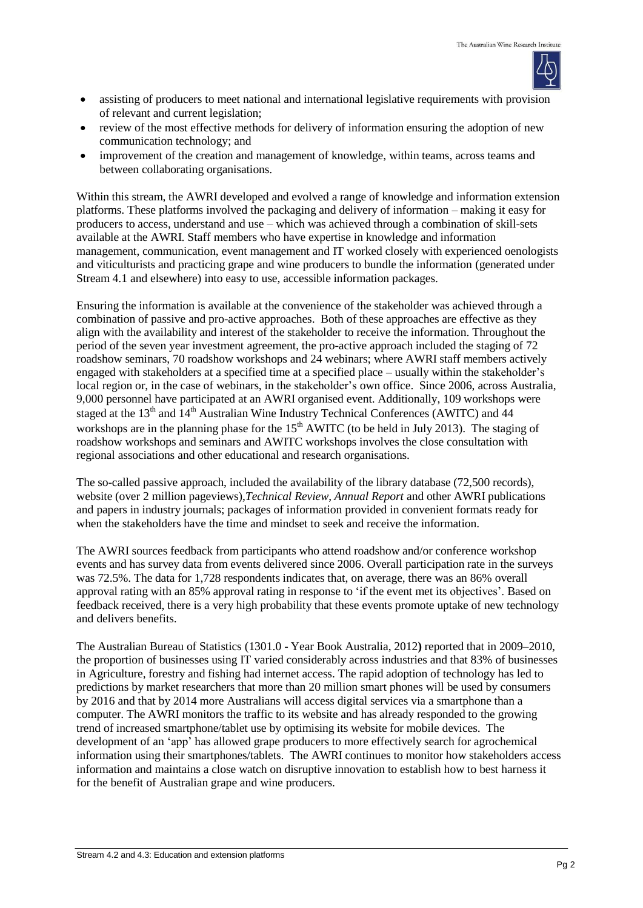

- assisting of producers to meet national and international legislative requirements with provision of relevant and current legislation;
- review of the most effective methods for delivery of information ensuring the adoption of new communication technology; and
- improvement of the creation and management of knowledge, within teams, across teams and between collaborating organisations.

Within this stream, the AWRI developed and evolved a range of knowledge and information extension platforms. These platforms involved the packaging and delivery of information – making it easy for producers to access, understand and use – which was achieved through a combination of skill-sets available at the AWRI. Staff members who have expertise in knowledge and information management, communication, event management and IT worked closely with experienced oenologists and viticulturists and practicing grape and wine producers to bundle the information (generated under Stream 4.1 and elsewhere) into easy to use, accessible information packages.

Ensuring the information is available at the convenience of the stakeholder was achieved through a combination of passive and pro-active approaches. Both of these approaches are effective as they align with the availability and interest of the stakeholder to receive the information. Throughout the period of the seven year investment agreement, the pro-active approach included the staging of 72 roadshow seminars, 70 roadshow workshops and 24 webinars; where AWRI staff members actively engaged with stakeholders at a specified time at a specified place – usually within the stakeholder's local region or, in the case of webinars, in the stakeholder's own office. Since 2006, across Australia, 9,000 personnel have participated at an AWRI organised event. Additionally, 109 workshops were staged at the  $13<sup>th</sup>$  and  $14<sup>th</sup>$  Australian Wine Industry Technical Conferences (AWITC) and 44 workshops are in the planning phase for the  $15<sup>th</sup>$  AWITC (to be held in July 2013). The staging of roadshow workshops and seminars and AWITC workshops involves the close consultation with regional associations and other educational and research organisations.

The so-called passive approach, included the availability of the library database (72,500 records), website (over 2 million pageviews),*Technical Review*, *Annual Report* and other AWRI publications and papers in industry journals; packages of information provided in convenient formats ready for when the stakeholders have the time and mindset to seek and receive the information.

The AWRI sources feedback from participants who attend roadshow and/or conference workshop events and has survey data from events delivered since 2006. Overall participation rate in the surveys was 72.5%. The data for 1,728 respondents indicates that, on average, there was an 86% overall approval rating with an 85% approval rating in response to 'if the event met its objectives'. Based on feedback received, there is a very high probability that these events promote uptake of new technology and delivers benefits.

The Australian Bureau of Statistics (1301.0 - Year Book Australia, 2012**)** reported that in 2009–2010, the proportion of businesses using IT varied considerably across industries and that 83% of businesses in Agriculture, forestry and fishing had internet access. The rapid adoption of technology has led to predictions by market researchers that more than 20 million smart phones will be used by consumers by 2016 and that by 2014 more Australians will access digital services via a smartphone than a computer. The AWRI monitors the traffic to its website and has already responded to the growing trend of increased smartphone/tablet use by optimising its website for mobile devices. The development of an 'app' has allowed grape producers to more effectively search for agrochemical information using their smartphones/tablets. The AWRI continues to monitor how stakeholders access information and maintains a close watch on disruptive innovation to establish how to best harness it for the benefit of Australian grape and wine producers.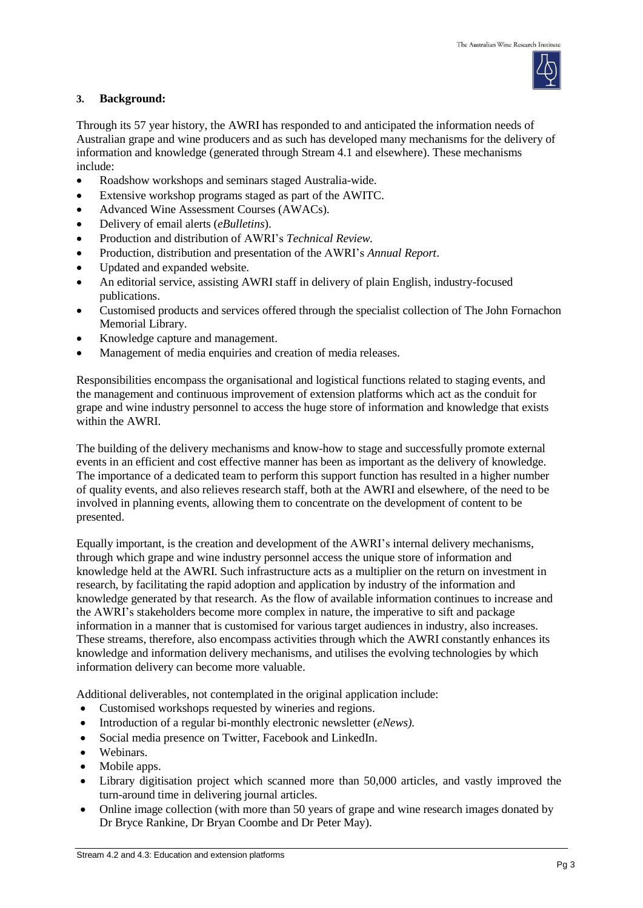

## **3. Background:**

Through its 57 year history, the AWRI has responded to and anticipated the information needs of Australian grape and wine producers and as such has developed many mechanisms for the delivery of information and knowledge (generated through Stream 4.1 and elsewhere). These mechanisms include:

- Roadshow workshops and seminars staged Australia-wide.
- Extensive workshop programs staged as part of the AWITC.
- Advanced Wine Assessment Courses (AWACs).
- Delivery of email alerts (*eBulletins*).
- Production and distribution of AWRI's *Technical Review.*
- Production, distribution and presentation of the AWRI's *Annual Report*.
- Updated and expanded website.
- An editorial service, assisting AWRI staff in delivery of plain English, industry-focused publications.
- Customised products and services offered through the specialist collection of The John Fornachon Memorial Library.
- Knowledge capture and management.
- Management of media enquiries and creation of media releases.

Responsibilities encompass the organisational and logistical functions related to staging events, and the management and continuous improvement of extension platforms which act as the conduit for grape and wine industry personnel to access the huge store of information and knowledge that exists within the AWRI.

The building of the delivery mechanisms and know-how to stage and successfully promote external events in an efficient and cost effective manner has been as important as the delivery of knowledge. The importance of a dedicated team to perform this support function has resulted in a higher number of quality events, and also relieves research staff, both at the AWRI and elsewhere, of the need to be involved in planning events, allowing them to concentrate on the development of content to be presented.

Equally important, is the creation and development of the AWRI's internal delivery mechanisms, through which grape and wine industry personnel access the unique store of information and knowledge held at the AWRI. Such infrastructure acts as a multiplier on the return on investment in research, by facilitating the rapid adoption and application by industry of the information and knowledge generated by that research. As the flow of available information continues to increase and the AWRI's stakeholders become more complex in nature, the imperative to sift and package information in a manner that is customised for various target audiences in industry, also increases. These streams, therefore, also encompass activities through which the AWRI constantly enhances its knowledge and information delivery mechanisms, and utilises the evolving technologies by which information delivery can become more valuable.

Additional deliverables, not contemplated in the original application include:

- Customised workshops requested by wineries and regions.
- Introduction of a regular bi-monthly electronic newsletter (*eNews).*
- Social media presence on Twitter, Facebook and LinkedIn.
- Webinars.
- Mobile apps.
- Library digitisation project which scanned more than 50,000 articles, and vastly improved the turn-around time in delivering journal articles.
- Online image collection (with more than 50 years of grape and wine research images donated by Dr Bryce Rankine, Dr Bryan Coombe and Dr Peter May).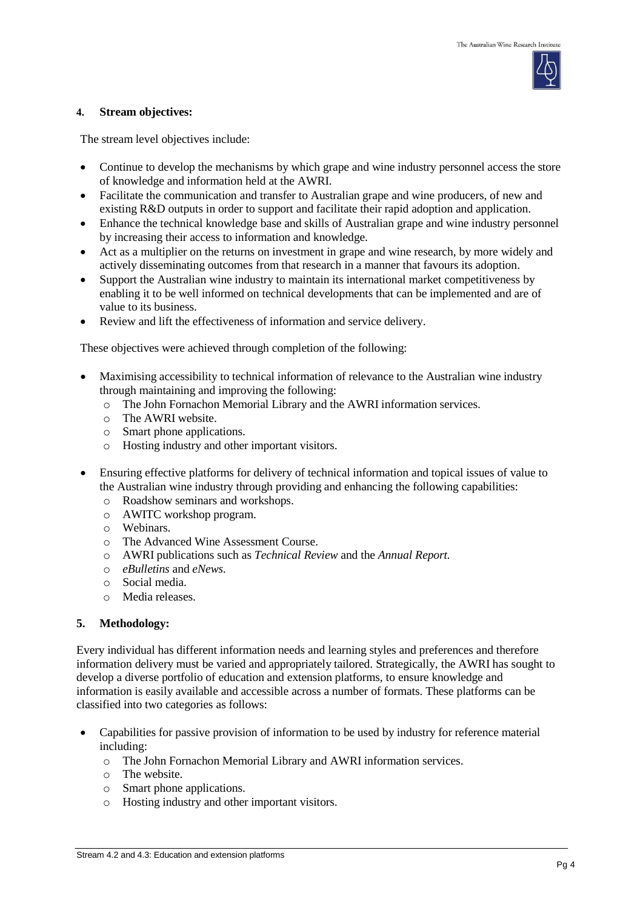

#### **4. Stream objectives:**

The stream level objectives include:

- Continue to develop the mechanisms by which grape and wine industry personnel access the store of knowledge and information held at the AWRI.
- Facilitate the communication and transfer to Australian grape and wine producers, of new and existing R&D outputs in order to support and facilitate their rapid adoption and application.
- Enhance the technical knowledge base and skills of Australian grape and wine industry personnel by increasing their access to information and knowledge.
- Act as a multiplier on the returns on investment in grape and wine research, by more widely and actively disseminating outcomes from that research in a manner that favours its adoption.
- Support the Australian wine industry to maintain its international market competitiveness by enabling it to be well informed on technical developments that can be implemented and are of value to its business.
- Review and lift the effectiveness of information and service delivery.

These objectives were achieved through completion of the following:

- Maximising accessibility to technical information of relevance to the Australian wine industry through maintaining and improving the following:
	- o The John Fornachon Memorial Library and the AWRI information services.
	- o The AWRI website.
	- o Smart phone applications.
	- o Hosting industry and other important visitors.
- Ensuring effective platforms for delivery of technical information and topical issues of value to the Australian wine industry through providing and enhancing the following capabilities:
	- o Roadshow seminars and workshops.
	- o AWITC workshop program.
	- o Webinars.
	- o The Advanced Wine Assessment Course.
	- o AWRI publications such as *Technical Review* and the *Annual Report.*
	- o *eBulletins* and *eNews.*
	- o Social media.
	- o Media releases.

## **5. Methodology:**

Every individual has different information needs and learning styles and preferences and therefore information delivery must be varied and appropriately tailored. Strategically, the AWRI has sought to develop a diverse portfolio of education and extension platforms, to ensure knowledge and information is easily available and accessible across a number of formats. These platforms can be classified into two categories as follows:

- Capabilities for passive provision of information to be used by industry for reference material including:
	- o The John Fornachon Memorial Library and AWRI information services.
	- o The website.
	- o Smart phone applications.
	- o Hosting industry and other important visitors.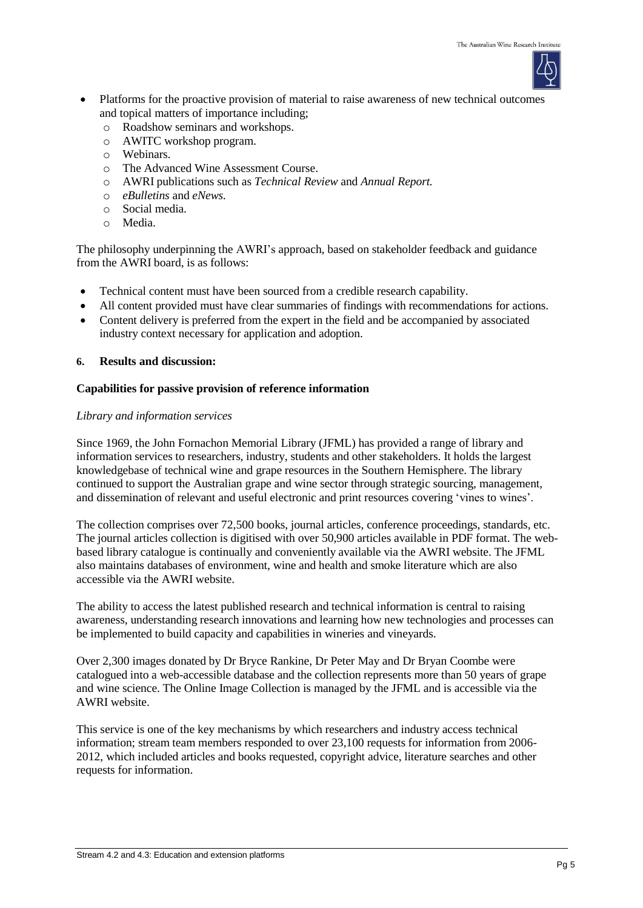

- Platforms for the proactive provision of material to raise awareness of new technical outcomes and topical matters of importance including;
	- o Roadshow seminars and workshops.
	- o AWITC workshop program.
	- o Webinars.
	- o The Advanced Wine Assessment Course.
	- o AWRI publications such as *Technical Review* and *Annual Report.*
	- o *eBulletins* and *eNews.*
	- o Social media.
	- o Media.

The philosophy underpinning the AWRI's approach, based on stakeholder feedback and guidance from the AWRI board, is as follows:

- Technical content must have been sourced from a credible research capability.
- All content provided must have clear summaries of findings with recommendations for actions.
- Content delivery is preferred from the expert in the field and be accompanied by associated industry context necessary for application and adoption.

## **6. Results and discussion:**

## **Capabilities for passive provision of reference information**

## *Library and information services*

Since 1969, the John Fornachon Memorial Library (JFML) has provided a range of library and information services to researchers, industry, students and other stakeholders. It holds the largest knowledgebase of technical wine and grape resources in the Southern Hemisphere. The library continued to support the Australian grape and wine sector through strategic sourcing, management, and dissemination of relevant and useful electronic and print resources covering 'vines to wines'.

The collection comprises over 72,500 books, journal articles, conference proceedings, standards, etc. The journal articles collection is digitised with over 50,900 articles available in PDF format. The webbased library catalogue is continually and conveniently available via the AWRI website. The JFML also maintains databases of environment, wine and health and smoke literature which are also accessible via the AWRI website.

The ability to access the latest published research and technical information is central to raising awareness, understanding research innovations and learning how new technologies and processes can be implemented to build capacity and capabilities in wineries and vineyards.

Over 2,300 images donated by Dr Bryce Rankine, Dr Peter May and Dr Bryan Coombe were catalogued into a web-accessible database and the collection represents more than 50 years of grape and wine science. The Online Image Collection is managed by the JFML and is accessible via the AWRI website.

This service is one of the key mechanisms by which researchers and industry access technical information; stream team members responded to over 23,100 requests for information from 2006- 2012, which included articles and books requested, copyright advice, literature searches and other requests for information.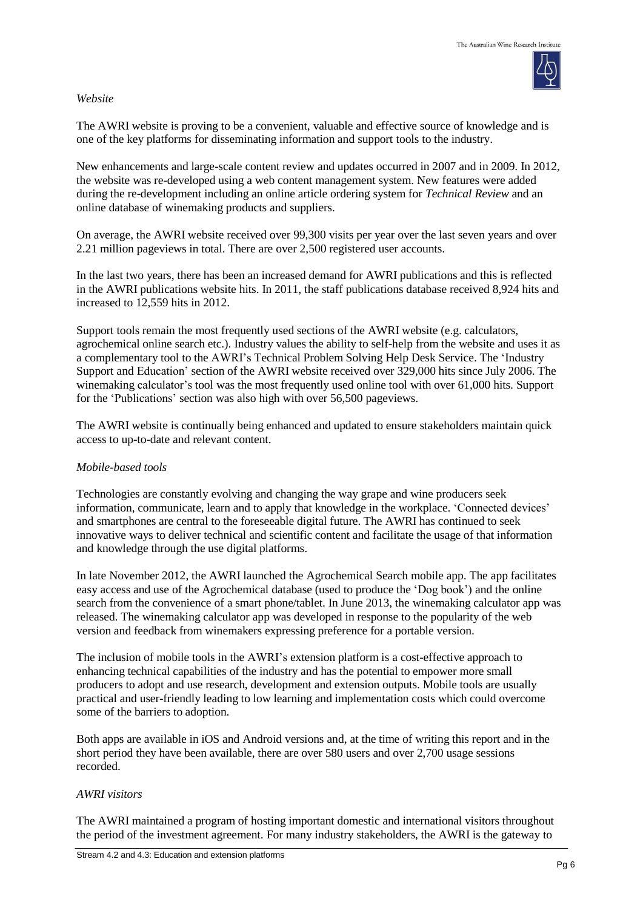## *Website*

The AWRI website is proving to be a convenient, valuable and effective source of knowledge and is one of the key platforms for disseminating information and support tools to the industry.

New enhancements and large-scale content review and updates occurred in 2007 and in 2009. In 2012, the website was re-developed using a web content management system. New features were added during the re-development including an online article ordering system for *Technical Review* and an online database of winemaking products and suppliers.

On average, the AWRI website received over 99,300 visits per year over the last seven years and over 2.21 million pageviews in total. There are over 2,500 registered user accounts.

In the last two years, there has been an increased demand for AWRI publications and this is reflected in the AWRI publications website hits. In 2011, the staff publications database received 8,924 hits and increased to 12,559 hits in 2012.

Support tools remain the most frequently used sections of the AWRI website (e.g. calculators, agrochemical online search etc.). Industry values the ability to self-help from the website and uses it as a complementary tool to the AWRI's Technical Problem Solving Help Desk Service. The 'Industry Support and Education' section of the AWRI website received over 329,000 hits since July 2006. The winemaking calculator's tool was the most frequently used online tool with over 61,000 hits. Support for the 'Publications' section was also high with over 56,500 pageviews.

The AWRI website is continually being enhanced and updated to ensure stakeholders maintain quick access to up-to-date and relevant content.

## *Mobile-based tools*

Technologies are constantly evolving and changing the way grape and wine producers seek information, communicate, learn and to apply that knowledge in the workplace. 'Connected devices' and smartphones are central to the foreseeable digital future. The AWRI has continued to seek innovative ways to deliver technical and scientific content and facilitate the usage of that information and knowledge through the use digital platforms.

In late November 2012, the AWRI launched the Agrochemical Search mobile app. The app facilitates easy access and use of the Agrochemical database (used to produce the 'Dog book') and the online search from the convenience of a smart phone/tablet. In June 2013, the winemaking calculator app was released. The winemaking calculator app was developed in response to the popularity of the web version and feedback from winemakers expressing preference for a portable version.

The inclusion of mobile tools in the AWRI's extension platform is a cost-effective approach to enhancing technical capabilities of the industry and has the potential to empower more small producers to adopt and use research, development and extension outputs. Mobile tools are usually practical and user-friendly leading to low learning and implementation costs which could overcome some of the barriers to adoption.

Both apps are available in iOS and Android versions and, at the time of writing this report and in the short period they have been available, there are over 580 users and over 2,700 usage sessions recorded.

## *AWRI visitors*

The AWRI maintained a program of hosting important domestic and international visitors throughout the period of the investment agreement. For many industry stakeholders, the AWRI is the gateway to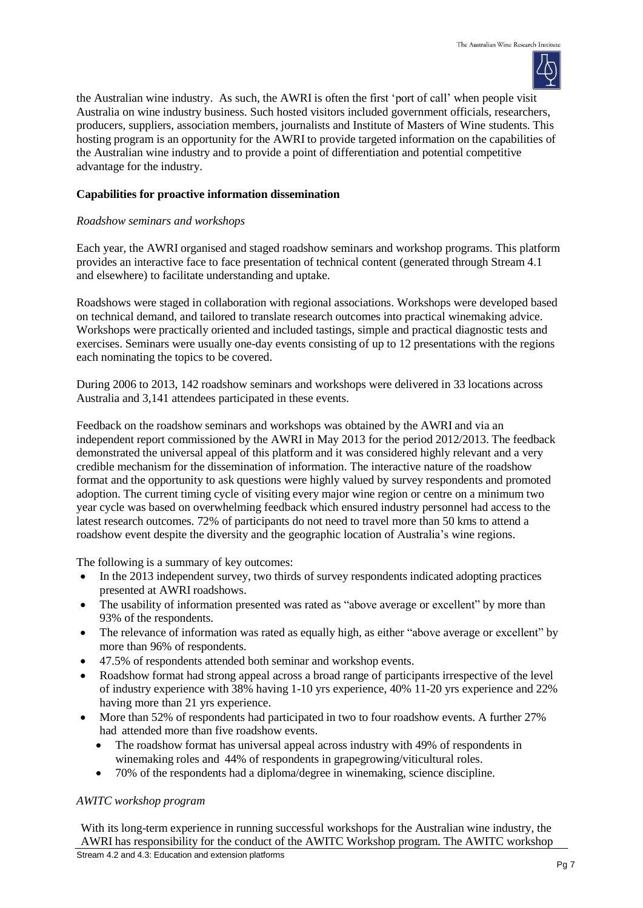

the Australian wine industry. As such, the AWRI is often the first 'port of call' when people visit Australia on wine industry business. Such hosted visitors included government officials, researchers, producers, suppliers, association members, journalists and Institute of Masters of Wine students. This hosting program is an opportunity for the AWRI to provide targeted information on the capabilities of the Australian wine industry and to provide a point of differentiation and potential competitive advantage for the industry.

## **Capabilities for proactive information dissemination**

## *Roadshow seminars and workshops*

Each year, the AWRI organised and staged roadshow seminars and workshop programs. This platform provides an interactive face to face presentation of technical content (generated through Stream 4.1 and elsewhere) to facilitate understanding and uptake.

Roadshows were staged in collaboration with regional associations. Workshops were developed based on technical demand, and tailored to translate research outcomes into practical winemaking advice. Workshops were practically oriented and included tastings, simple and practical diagnostic tests and exercises. Seminars were usually one-day events consisting of up to 12 presentations with the regions each nominating the topics to be covered.

During 2006 to 2013, 142 roadshow seminars and workshops were delivered in 33 locations across Australia and 3,141 attendees participated in these events.

Feedback on the roadshow seminars and workshops was obtained by the AWRI and via an independent report commissioned by the AWRI in May 2013 for the period 2012/2013. The feedback demonstrated the universal appeal of this platform and it was considered highly relevant and a very credible mechanism for the dissemination of information. The interactive nature of the roadshow format and the opportunity to ask questions were highly valued by survey respondents and promoted adoption. The current timing cycle of visiting every major wine region or centre on a minimum two year cycle was based on overwhelming feedback which ensured industry personnel had access to the latest research outcomes. 72% of participants do not need to travel more than 50 kms to attend a roadshow event despite the diversity and the geographic location of Australia's wine regions.

The following is a summary of key outcomes:

- In the 2013 independent survey, two thirds of survey respondents indicated adopting practices presented at AWRI roadshows.
- The usability of information presented was rated as "above average or excellent" by more than 93% of the respondents.
- The relevance of information was rated as equally high, as either "above average or excellent" by more than 96% of respondents.
- 47.5% of respondents attended both seminar and workshop events.
- Roadshow format had strong appeal across a broad range of participants irrespective of the level of industry experience with 38% having 1-10 yrs experience, 40% 11-20 yrs experience and 22% having more than 21 yrs experience.
- More than 52% of respondents had participated in two to four roadshow events. A further 27% had attended more than five roadshow events.
	- The roadshow format has universal appeal across industry with 49% of respondents in winemaking roles and 44% of respondents in grapegrowing/viticultural roles.
	- 70% of the respondents had a diploma/degree in winemaking, science discipline.

## *AWITC workshop program*

With its long-term experience in running successful workshops for the Australian wine industry, the AWRI has responsibility for the conduct of the AWITC Workshop program. The AWITC workshop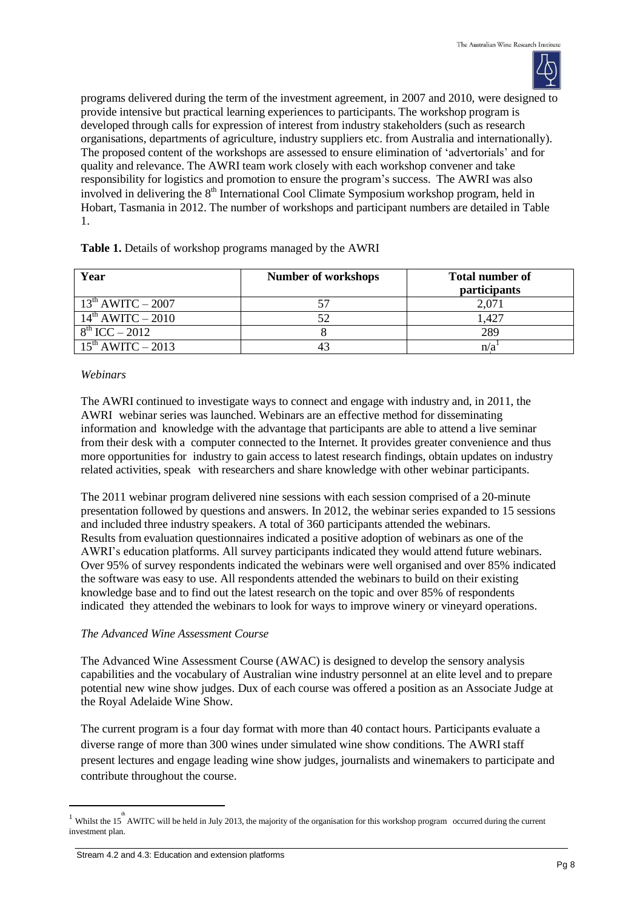

programs delivered during the term of the investment agreement, in 2007 and 2010, were designed to provide intensive but practical learning experiences to participants. The workshop program is developed through calls for expression of interest from industry stakeholders (such as research organisations, departments of agriculture, industry suppliers etc. from Australia and internationally). The proposed content of the workshops are assessed to ensure elimination of 'advertorials' and for quality and relevance. The AWRI team work closely with each workshop convener and take responsibility for logistics and promotion to ensure the program's success. The AWRI was also involved in delivering the 8<sup>th</sup> International Cool Climate Symposium workshop program, held in Hobart, Tasmania in 2012. The number of workshops and participant numbers are detailed in Table 1.

| Year                   | <b>Number of workshops</b> | <b>Total number of</b><br>participants |
|------------------------|----------------------------|----------------------------------------|
| $13^{th}$ AWITC – 2007 |                            | 2,071                                  |
| $14^{th}$ AWITC – 2010 |                            | l.427                                  |
| $8^{th}$ ICC – 2012    |                            | 289                                    |
| $15th$ AWITC – 2013    |                            | n/a                                    |

## **Table 1.** Details of workshop programs managed by the AWRI

## *Webinars*

The AWRI continued to investigate ways to connect and engage with industry and, in 2011, the AWRI webinar series was launched. Webinars are an effective method for disseminating information and knowledge with the advantage that participants are able to attend a live seminar from their desk with a computer connected to the Internet. It provides greater convenience and thus more opportunities for industry to gain access to latest research findings, obtain updates on industry related activities, speak with researchers and share knowledge with other webinar participants.

The 2011 webinar program delivered nine sessions with each session comprised of a 20-minute presentation followed by questions and answers. In 2012, the webinar series expanded to 15 sessions and included three industry speakers. A total of 360 participants attended the webinars. Results from evaluation questionnaires indicated a positive adoption of webinars as one of the AWRI's education platforms. All survey participants indicated they would attend future webinars. Over 95% of survey respondents indicated the webinars were well organised and over 85% indicated the software was easy to use. All respondents attended the webinars to build on their existing knowledge base and to find out the latest research on the topic and over 85% of respondents indicated they attended the webinars to look for ways to improve winery or vineyard operations.

## *The Advanced Wine Assessment Course*

The Advanced Wine Assessment Course (AWAC) is designed to develop the sensory analysis capabilities and the vocabulary of Australian wine industry personnel at an elite level and to prepare potential new wine show judges. Dux of each course was offered a position as an Associate Judge at the Royal Adelaide Wine Show.

The current program is a four day format with more than 40 contact hours. Participants evaluate a diverse range of more than 300 wines under simulated wine show conditions. The AWRI staff present lectures and engage leading wine show judges, journalists and winemakers to participate and contribute throughout the course.

 $\overline{a}$ 

<sup>&</sup>lt;sup>1</sup> Whilst the 15<sup>th</sup> AWITC will be held in July 2013, the majority of the organisation for this workshop program occurred during the current investment plan.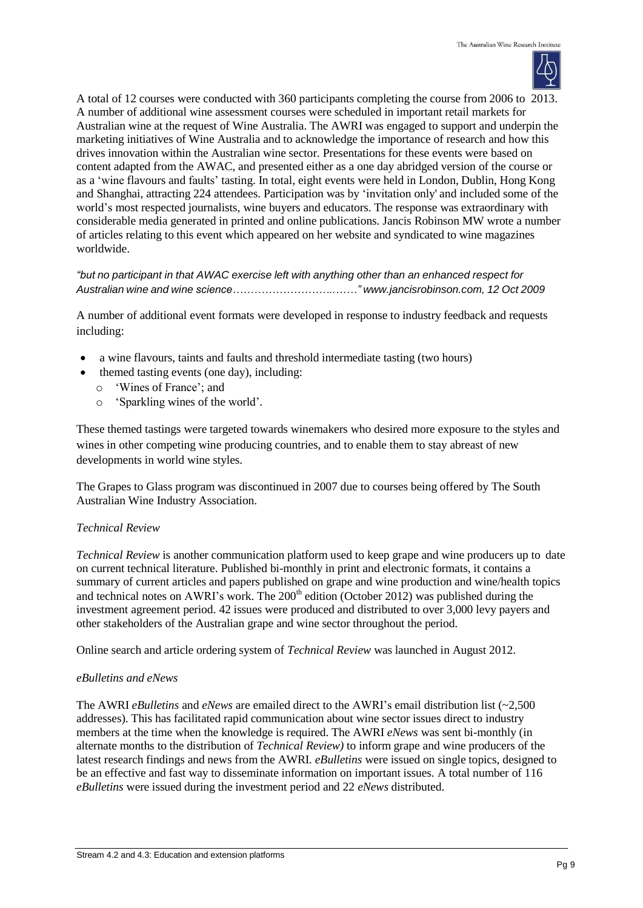

A total of 12 courses were conducted with 360 participants completing the course from 2006 to 2013. A number of additional wine assessment courses were scheduled in important retail markets for Australian wine at the request of Wine Australia. The AWRI was engaged to support and underpin the marketing initiatives of Wine Australia and to acknowledge the importance of research and how this drives innovation within the Australian wine sector. Presentations for these events were based on content adapted from the AWAC, and presented either as a one day abridged version of the course or as a 'wine flavours and faults' tasting. In total, eight events were held in London, Dublin, Hong Kong and Shanghai, attracting 224 attendees. Participation was by 'invitation only' and included some of the world's most respected journalists, wine buyers and educators. The response was extraordinary with considerable media generated in printed and online publications. Jancis Robinson MW wrote a number of articles relating to this event which appeared on her website and syndicated to wine magazines worldwide.

# *"but no participant in that AWAC exercise left with anything other than an enhanced respect for Australian wine and wine science………………………..……" [www.jancisrobinson.com,](http://www.jancisrobinson.com/) 12 Oct 2009*

A number of additional event formats were developed in response to industry feedback and requests including:

- a wine flavours, taints and faults and threshold intermediate tasting (two hours)
	- themed tasting events (one day), including:
		- o 'Wines of France'; and
		- o 'Sparkling wines of the world'.

These themed tastings were targeted towards winemakers who desired more exposure to the styles and wines in other competing wine producing countries, and to enable them to stay abreast of new developments in world wine styles.

The Grapes to Glass program was discontinued in 2007 due to courses being offered by The South Australian Wine Industry Association.

# *Technical Review*

*Technical Review* is another communication platform used to keep grape and wine producers up to date on current technical literature. Published bi-monthly in print and electronic formats, it contains a summary of current articles and papers published on grape and wine production and wine/health topics and technical notes on AWRI's work. The  $200<sup>th</sup>$  edition (October 2012) was published during the investment agreement period. 42 issues were produced and distributed to over 3,000 levy payers and other stakeholders of the Australian grape and wine sector throughout the period.

Online search and article ordering system of *Technical Review* was launched in August 2012.

# *eBulletins and eNews*

The AWRI *eBulletins* and *eNews* are emailed direct to the AWRI's email distribution list (~2,500 addresses). This has facilitated rapid communication about wine sector issues direct to industry members at the time when the knowledge is required. The AWRI *eNews* was sent bi-monthly (in alternate months to the distribution of *Technical Review)* to inform grape and wine producers of the latest research findings and news from the AWRI. *eBulletins* were issued on single topics, designed to be an effective and fast way to disseminate information on important issues. A total number of 116 *eBulletins* were issued during the investment period and 22 *eNews* distributed.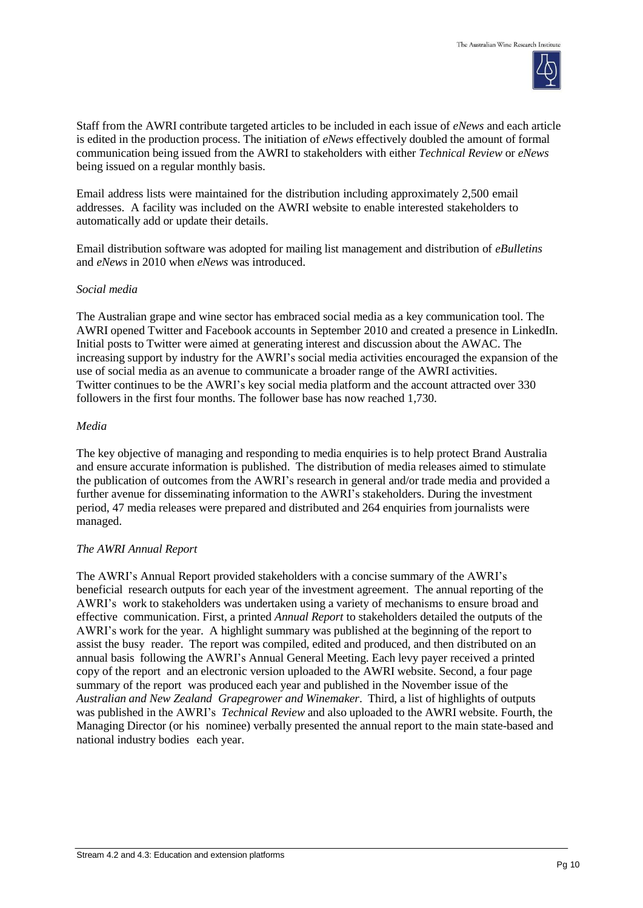

Staff from the AWRI contribute targeted articles to be included in each issue of *eNews* and each article is edited in the production process. The initiation of *eNews* effectively doubled the amount of formal communication being issued from the AWRI to stakeholders with either *Technical Review* or *eNews* being issued on a regular monthly basis.

Email address lists were maintained for the distribution including approximately 2,500 email addresses. A facility was included on the AWRI website to enable interested stakeholders to automatically add or update their details.

Email distribution software was adopted for mailing list management and distribution of *eBulletins* and *eNews* in 2010 when *eNews* was introduced.

## *Social media*

The Australian grape and wine sector has embraced social media as a key communication tool. The AWRI opened Twitter and Facebook accounts in September 2010 and created a presence in LinkedIn. Initial posts to Twitter were aimed at generating interest and discussion about the AWAC. The increasing support by industry for the AWRI's social media activities encouraged the expansion of the use of social media as an avenue to communicate a broader range of the AWRI activities. Twitter continues to be the AWRI's key social media platform and the account attracted over 330 followers in the first four months. The follower base has now reached 1,730.

#### *Media*

The key objective of managing and responding to media enquiries is to help protect Brand Australia and ensure accurate information is published. The distribution of media releases aimed to stimulate the publication of outcomes from the AWRI's research in general and/or trade media and provided a further avenue for disseminating information to the AWRI's stakeholders. During the investment period, 47 media releases were prepared and distributed and 264 enquiries from journalists were managed.

## *The AWRI Annual Report*

The AWRI's Annual Report provided stakeholders with a concise summary of the AWRI's beneficial research outputs for each year of the investment agreement. The annual reporting of the AWRI's work to stakeholders was undertaken using a variety of mechanisms to ensure broad and effective communication. First, a printed *Annual Report* to stakeholders detailed the outputs of the AWRI's work for the year. A highlight summary was published at the beginning of the report to assist the busy reader. The report was compiled, edited and produced, and then distributed on an annual basis following the AWRI's Annual General Meeting. Each levy payer received a printed copy of the report and an electronic version uploaded to the AWRI website. Second, a four page summary of the report was produced each year and published in the November issue of the *Australian and New Zealand Grapegrower and Winemaker*. Third, a list of highlights of outputs was published in the AWRI's *Technical Review* and also uploaded to the AWRI website. Fourth, the Managing Director (or his nominee) verbally presented the annual report to the main state-based and national industry bodies each year.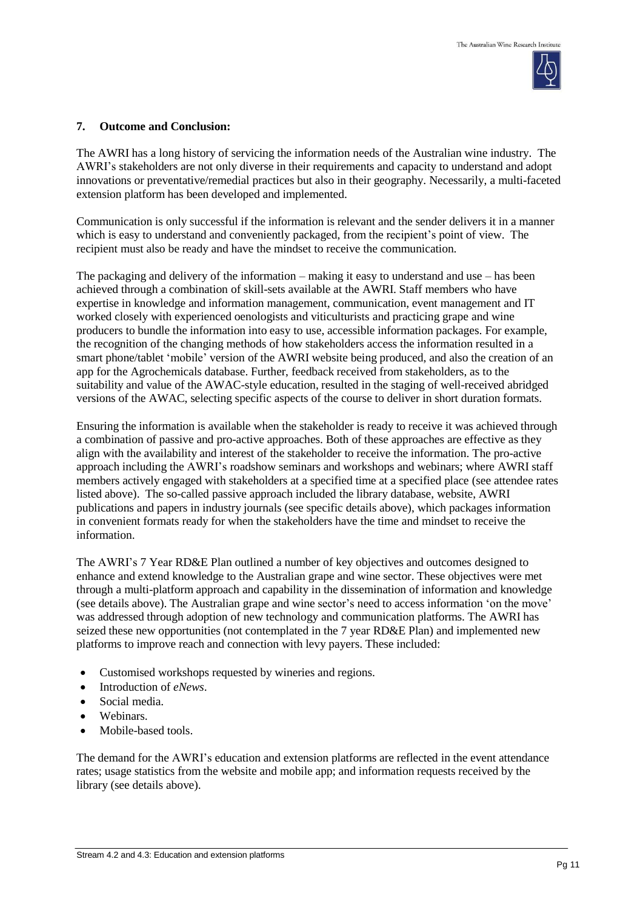

#### **7. Outcome and Conclusion:**

The AWRI has a long history of servicing the information needs of the Australian wine industry. The AWRI's stakeholders are not only diverse in their requirements and capacity to understand and adopt innovations or preventative/remedial practices but also in their geography. Necessarily, a multi-faceted extension platform has been developed and implemented.

Communication is only successful if the information is relevant and the sender delivers it in a manner which is easy to understand and conveniently packaged, from the recipient's point of view. The recipient must also be ready and have the mindset to receive the communication.

The packaging and delivery of the information – making it easy to understand and use – has been achieved through a combination of skill-sets available at the AWRI. Staff members who have expertise in knowledge and information management, communication, event management and IT worked closely with experienced oenologists and viticulturists and practicing grape and wine producers to bundle the information into easy to use, accessible information packages. For example, the recognition of the changing methods of how stakeholders access the information resulted in a smart phone/tablet 'mobile' version of the AWRI website being produced, and also the creation of an app for the Agrochemicals database. Further, feedback received from stakeholders, as to the suitability and value of the AWAC-style education, resulted in the staging of well-received abridged versions of the AWAC, selecting specific aspects of the course to deliver in short duration formats.

Ensuring the information is available when the stakeholder is ready to receive it was achieved through a combination of passive and pro-active approaches. Both of these approaches are effective as they align with the availability and interest of the stakeholder to receive the information. The pro-active approach including the AWRI's roadshow seminars and workshops and webinars; where AWRI staff members actively engaged with stakeholders at a specified time at a specified place (see attendee rates listed above). The so-called passive approach included the library database, website, AWRI publications and papers in industry journals (see specific details above), which packages information in convenient formats ready for when the stakeholders have the time and mindset to receive the information.

The AWRI's 7 Year RD&E Plan outlined a number of key objectives and outcomes designed to enhance and extend knowledge to the Australian grape and wine sector. These objectives were met through a multi-platform approach and capability in the dissemination of information and knowledge (see details above). The Australian grape and wine sector's need to access information 'on the move' was addressed through adoption of new technology and communication platforms. The AWRI has seized these new opportunities (not contemplated in the 7 year RD&E Plan) and implemented new platforms to improve reach and connection with levy payers. These included:

- Customised workshops requested by wineries and regions.
- Introduction of *eNews*.
- Social media.
- Webinars
- Mobile-based tools.

The demand for the AWRI's education and extension platforms are reflected in the event attendance rates; usage statistics from the website and mobile app; and information requests received by the library (see details above).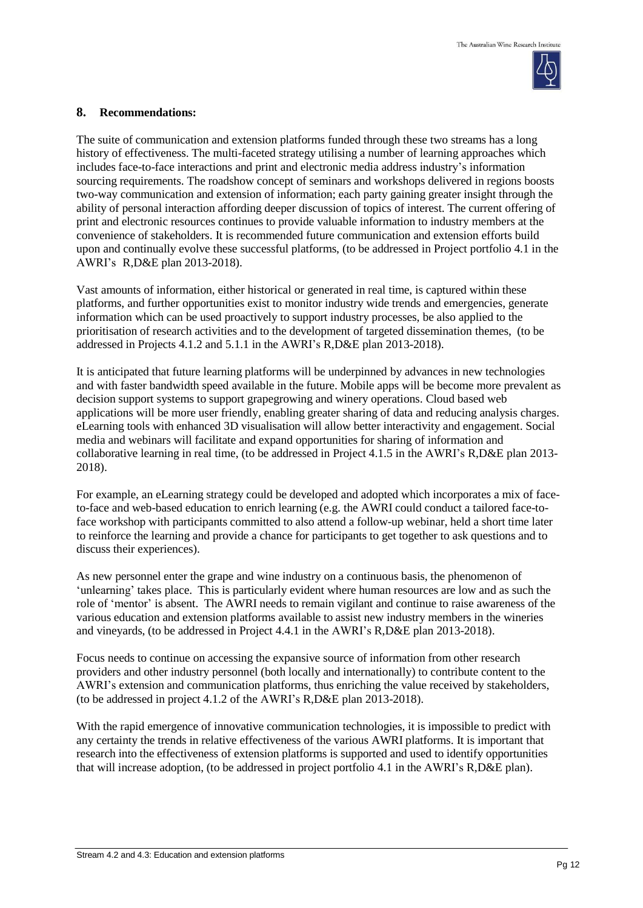

## **8. Recommendations:**

The suite of communication and extension platforms funded through these two streams has a long history of effectiveness. The multi-faceted strategy utilising a number of learning approaches which includes face-to-face interactions and print and electronic media address industry's information sourcing requirements. The roadshow concept of seminars and workshops delivered in regions boosts two-way communication and extension of information; each party gaining greater insight through the ability of personal interaction affording deeper discussion of topics of interest. The current offering of print and electronic resources continues to provide valuable information to industry members at the convenience of stakeholders. It is recommended future communication and extension efforts build upon and continually evolve these successful platforms, (to be addressed in Project portfolio 4.1 in the AWRI's R,D&E plan 2013-2018).

Vast amounts of information, either historical or generated in real time, is captured within these platforms, and further opportunities exist to monitor industry wide trends and emergencies, generate information which can be used proactively to support industry processes, be also applied to the prioritisation of research activities and to the development of targeted dissemination themes, (to be addressed in Projects 4.1.2 and 5.1.1 in the AWRI's R,D&E plan 2013-2018).

It is anticipated that future learning platforms will be underpinned by advances in new technologies and with faster bandwidth speed available in the future. Mobile apps will be become more prevalent as decision support systems to support grapegrowing and winery operations. Cloud based web applications will be more user friendly, enabling greater sharing of data and reducing analysis charges. eLearning tools with enhanced 3D visualisation will allow better interactivity and engagement. Social media and webinars will facilitate and expand opportunities for sharing of information and collaborative learning in real time, (to be addressed in Project 4.1.5 in the AWRI's R,D&E plan 2013- 2018).

For example, an eLearning strategy could be developed and adopted which incorporates a mix of faceto-face and web-based education to enrich learning (e.g. the AWRI could conduct a tailored face-toface workshop with participants committed to also attend a follow-up webinar, held a short time later to reinforce the learning and provide a chance for participants to get together to ask questions and to discuss their experiences).

As new personnel enter the grape and wine industry on a continuous basis, the phenomenon of 'unlearning' takes place. This is particularly evident where human resources are low and as such the role of 'mentor' is absent. The AWRI needs to remain vigilant and continue to raise awareness of the various education and extension platforms available to assist new industry members in the wineries and vineyards, (to be addressed in Project 4.4.1 in the AWRI's R,D&E plan 2013-2018).

Focus needs to continue on accessing the expansive source of information from other research providers and other industry personnel (both locally and internationally) to contribute content to the AWRI's extension and communication platforms, thus enriching the value received by stakeholders, (to be addressed in project 4.1.2 of the AWRI's R,D&E plan 2013-2018).

With the rapid emergence of innovative communication technologies, it is impossible to predict with any certainty the trends in relative effectiveness of the various AWRI platforms. It is important that research into the effectiveness of extension platforms is supported and used to identify opportunities that will increase adoption, (to be addressed in project portfolio 4.1 in the AWRI's R,D&E plan).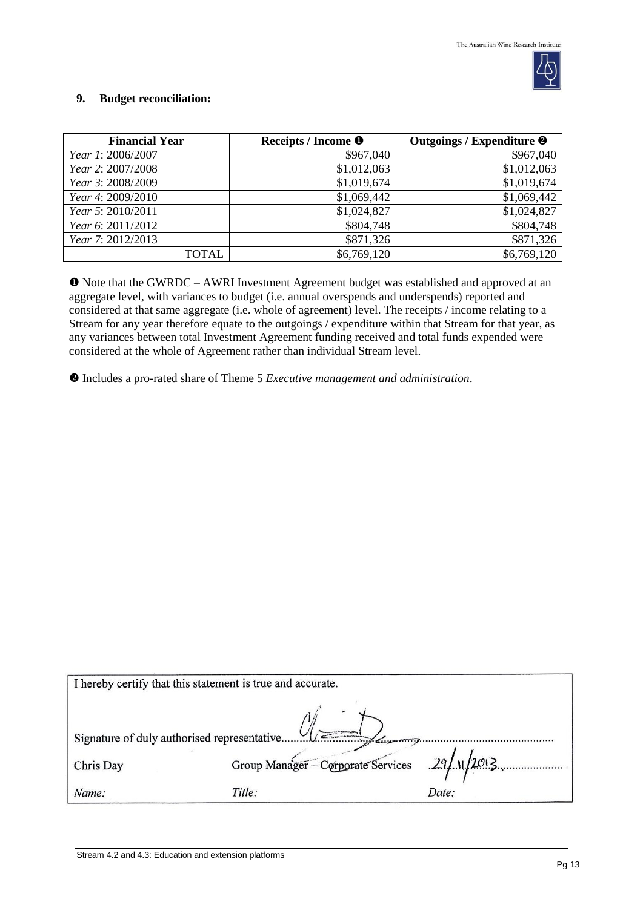

## **9. Budget reconciliation:**

| <b>Financial Year</b> | Receipts / Income <sup>O</sup> | Outgoings / Expenditure <sup>@</sup> |
|-----------------------|--------------------------------|--------------------------------------|
| Year 1: 2006/2007     | \$967,040                      | \$967,040                            |
| Year 2: 2007/2008     | \$1,012,063                    | \$1,012,063                          |
| Year 3: 2008/2009     | \$1,019,674                    | \$1,019,674                          |
| Year 4: 2009/2010     | \$1,069,442                    | \$1,069,442                          |
| Year 5: 2010/2011     | \$1,024,827                    | \$1,024,827                          |
| Year 6: 2011/2012     | \$804,748                      | \$804,748                            |
| Year 7: 2012/2013     | \$871,326                      | \$871,326                            |
| TOTAL                 | \$6,769,120                    | \$6,769,120                          |

 Note that the GWRDC – AWRI Investment Agreement budget was established and approved at an aggregate level, with variances to budget (i.e. annual overspends and underspends) reported and considered at that same aggregate (i.e. whole of agreement) level. The receipts / income relating to a Stream for any year therefore equate to the outgoings / expenditure within that Stream for that year, as any variances between total Investment Agreement funding received and total funds expended were considered at the whole of Agreement rather than individual Stream level.

Includes a pro-rated share of Theme 5 *Executive management and administration*.

| I hereby certify that this statement is true and accurate. |                                              |       |  |  |
|------------------------------------------------------------|----------------------------------------------|-------|--|--|
| Signature of duly authorised representative<br>1/          |                                              |       |  |  |
| Chris Day                                                  | Group Manager - Corporate Services 29/1/2013 |       |  |  |
| Name:                                                      | Title:                                       | Date: |  |  |